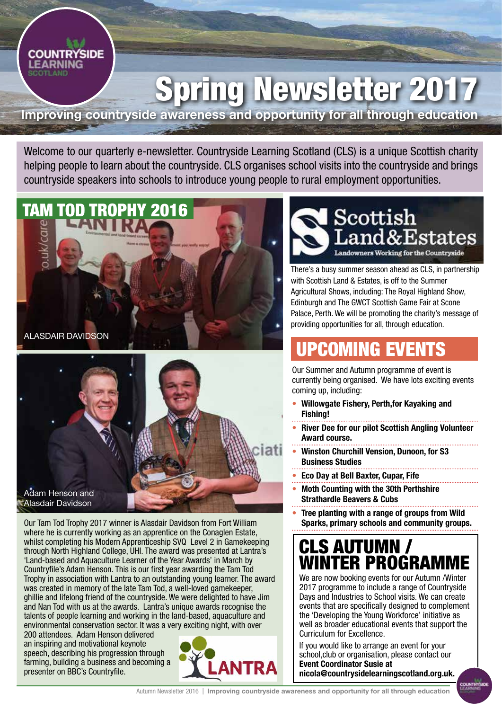## **COUNT**

### Spring Newsletter 2017 Improving countryside awareness and opportunity for all through education

Welcome to our quarterly e-newsletter. Countryside Learning Scotland (CLS) is a unique Scottish charity

helping people to learn about the countryside. CLS organises school visits into the countryside and brings countryside speakers into schools to introduce young people to rural employment opportunities.





Our Tam Tod Trophy 2017 winner is Alasdair Davidson from Fort William where he is currently working as an apprentice on the Conaglen Estate. whilst completing his Modern Apprenticeship SVQ Level 2 in Gamekeeping through North Highland College, UHI. The award was presented at Lantra's 'Land-based and Aquaculture Learner of the Year Awards' in March by Countryfile's Adam Henson. This is our first year awarding the Tam Tod Trophy in association with Lantra to an outstanding young learner. The award was created in memory of the late Tam Tod, a well-loved gamekeeper, ghillie and lifelong friend of the countryside. We were delighted to have Jim and Nan Tod with us at the awards. Lantra's unique awards recognise the talents of people learning and working in the land-based, aquaculture and environmental conservation sector. It was a very exciting night, with over

200 attendees. Adam Henson delivered an inspiring and motivational keynote speech, describing his progression through farming, building a business and becoming a presenter on BBC's Countryfile.





There's a busy summer season ahead as CLS, in partnership with Scottish Land & Estates, is off to the Summer Agricultural Shows, including: The Royal Highland Show, Edinburgh and The GWCT Scottish Game Fair at Scone Palace, Perth. We will be promoting the charity's message of providing opportunities for all, through education.

#### UPCHING

Our Summer and Autumn programme of event is currently being organised. We have lots exciting events coming up, including:

- Willowgate Fishery, Perth,for Kayaking and Fishing!
- River Dee for our pilot Scottish Angling Volunteer Award course.
- Winston Churchill Vension, Dunoon, for S3 Business Studies
- Eco Day at Bell Baxter, Cupar, Fife
- Moth Counting with the 30th Perthshire Strathardle Beavers & Cubs
- Tree planting with a range of groups from Wild Sparks, primary schools and community groups.

#### CLS AUTUMN / WINTER PROGRAMME

We are now booking events for our Autumn /Winter 2017 programme to include a range of Countryside Days and Industries to School visits. We can create events that are specifically designed to complement the 'Developing the Young Workforce' initiative as well as broader educational events that support the Curriculum for Excellence.

If you would like to arrange an event for your school,club or organisation, please contact our Event Coordinator Susie at nicola@countrysidelearningscotland.org.uk.

**COUNTRY**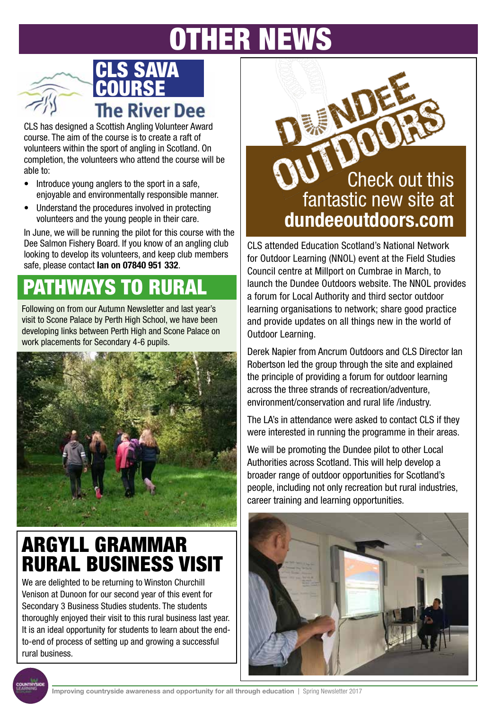# OTHER NEWS

#### SSAVA **COURSE The River Dee**

CLS has designed a Scottish Angling Volunteer Award course. The aim of the course is to create a raft of volunteers within the sport of angling in Scotland. On completion, the volunteers who attend the course will be able to:

- Introduce young anglers to the sport in a safe, enjoyable and environmentally responsible manner.
- Understand the procedures involved in protecting volunteers and the young people in their care.

In June, we will be running the pilot for this course with the Dee Salmon Fishery Board. If you know of an angling club looking to develop its volunteers, and keep club members safe, please contact Ian on 07840 951 332.

### PATHWAYS TO RURAL

Following on from our Autumn Newsletter and last year's visit to Scone Palace by Perth High School, we have been developing links between Perth High and Scone Palace on work placements for Secondary 4-6 pupils.



### ARGYLL GRAMMAR RURAL BUSINESS VISIT

We are delighted to be returning to Winston Churchill Venison at Dunoon for our second year of this event for Secondary 3 Business Studies students. The students thoroughly enjoyed their visit to this rural business last year. It is an ideal opportunity for students to learn about the endto-end of process of setting up and growing a successful rural business.



### Check out this fantastic new site at dundeeoutdoors.com

CLS attended Education Scotland's National Network for Outdoor Learning (NNOL) event at the Field Studies Council centre at Millport on Cumbrae in March, to launch the Dundee Outdoors website. The NNOL provides a forum for Local Authority and third sector outdoor learning organisations to network; share good practice and provide updates on all things new in the world of Outdoor Learning.

Derek Napier from Ancrum Outdoors and CLS Director Ian Robertson led the group through the site and explained the principle of providing a forum for outdoor learning across the three strands of recreation/adventure, environment/conservation and rural life /industry.

The LA's in attendance were asked to contact CLS if they were interested in running the programme in their areas.

We will be promoting the Dundee pilot to other Local Authorities across Scotland. This will help develop a broader range of outdoor opportunities for Scotland's people, including not only recreation but rural industries, career training and learning opportunities.